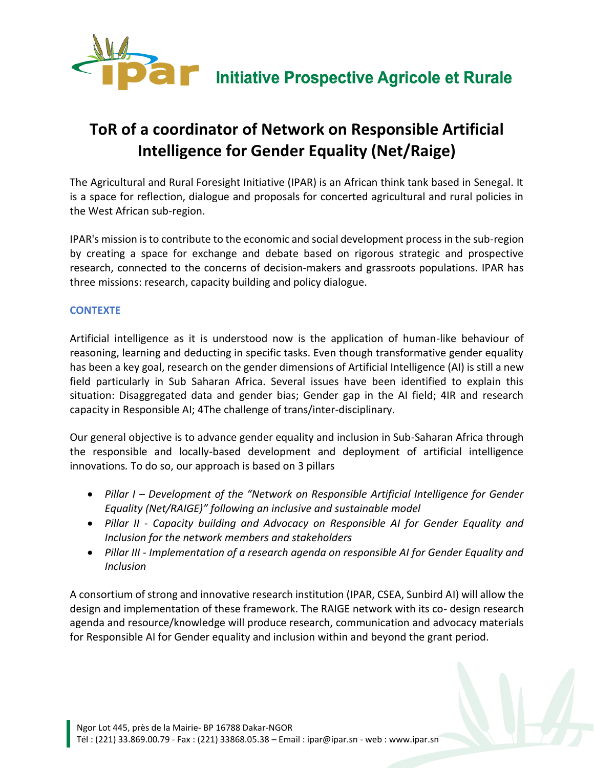

# **ToR of a coordinator of Network on Responsible Artificial Intelligence for Gender Equality (Net/Raige)**

The Agricultural and Rural Foresight Initiative (IPAR) is an African think tank based in Senegal. It is a space for reflection, dialogue and proposals for concerted agricultural and rural policies in the West African sub-region.

IPAR's mission is to contribute to the economic and social development process in the sub-region by creating a space for exchange and debate based on rigorous strategic and prospective research, connected to the concerns of decision-makers and grassroots populations. IPAR has three missions: research, capacity building and policy dialogue.

## **CONTEXTE**

Artificial intelligence as it is understood now is the application of human-like behaviour of reasoning, learning and deducting in specific tasks. Even though transformative gender equality has been a key goal, research on the gender dimensions of Artificial Intelligence (AI) is still a new field particularly in Sub Saharan Africa. Several issues have been identified to explain this situation: Disaggregated data and gender bias; Gender gap in the AI field; 4IR and research capacity in Responsible AI; 4The challenge of trans/inter-disciplinary.

Our general objective is to advance gender equality and inclusion in Sub-Saharan Africa through the responsible and locally-based development and deployment of artificial intelligence innovations*.* To do so, our approach is based on 3 pillars

- *Pillar I – Development of the "Network on Responsible Artificial Intelligence for Gender Equality (Net/RAIGE)" following an inclusive and sustainable model*
- *Pillar II - Capacity building and Advocacy on Responsible AI for Gender Equality and Inclusion for the network members and stakeholders*
- *Pillar III - Implementation of a research agenda on responsible AI for Gender Equality and Inclusion*

A consortium of strong and innovative research institution (IPAR, CSEA, Sunbird AI) will allow the design and implementation of these framework. The RAIGE network with its co- design research agenda and resource/knowledge will produce research, communication and advocacy materials for Responsible AI for Gender equality and inclusion within and beyond the grant period.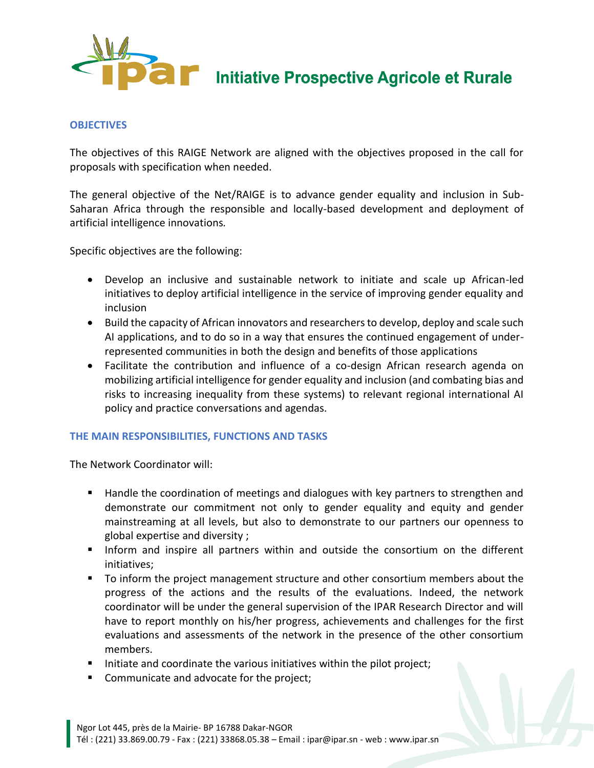

**Dans Initiative Prospective Agricole et Rurale** 

### **OBJECTIVES**

The objectives of this RAIGE Network are aligned with the objectives proposed in the call for proposals with specification when needed.

The general objective of the Net/RAIGE is to advance gender equality and inclusion in Sub-Saharan Africa through the responsible and locally-based development and deployment of artificial intelligence innovations*.* 

Specific objectives are the following:

- Develop an inclusive and sustainable network to initiate and scale up African-led initiatives to deploy artificial intelligence in the service of improving gender equality and inclusion
- Build the capacity of African innovators and researchers to develop, deploy and scale such AI applications, and to do so in a way that ensures the continued engagement of underrepresented communities in both the design and benefits of those applications
- Facilitate the contribution and influence of a co-design African research agenda on mobilizing artificial intelligence for gender equality and inclusion (and combating bias and risks to increasing inequality from these systems) to relevant regional international AI policy and practice conversations and agendas.

#### **THE MAIN RESPONSIBILITIES, FUNCTIONS AND TASKS**

The Network Coordinator will:

- Handle the coordination of meetings and dialogues with key partners to strengthen and demonstrate our commitment not only to gender equality and equity and gender mainstreaming at all levels, but also to demonstrate to our partners our openness to global expertise and diversity ;
- Inform and inspire all partners within and outside the consortium on the different initiatives;
- To inform the project management structure and other consortium members about the progress of the actions and the results of the evaluations. Indeed, the network coordinator will be under the general supervision of the IPAR Research Director and will have to report monthly on his/her progress, achievements and challenges for the first evaluations and assessments of the network in the presence of the other consortium members.
- Initiate and coordinate the various initiatives within the pilot project;
- Communicate and advocate for the project;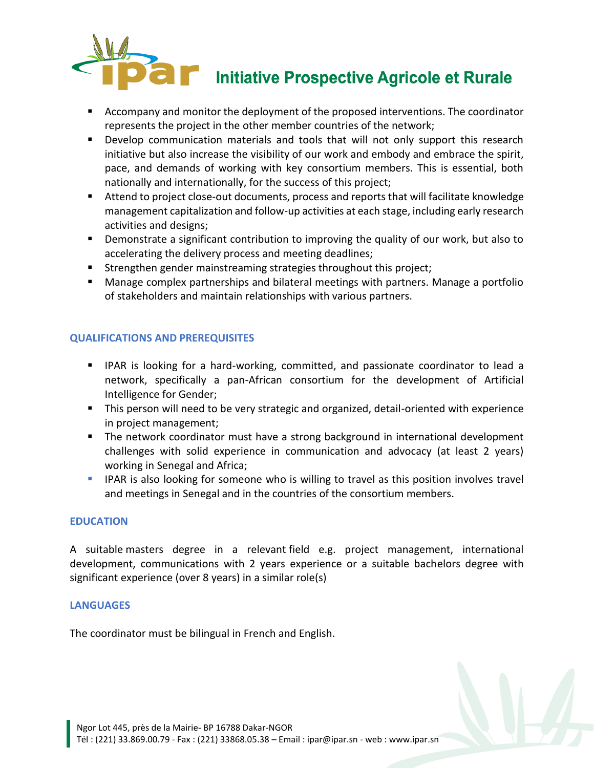

- Accompany and monitor the deployment of the proposed interventions. The coordinator represents the project in the other member countries of the network;
- Develop communication materials and tools that will not only support this research initiative but also increase the visibility of our work and embody and embrace the spirit, pace, and demands of working with key consortium members. This is essential, both nationally and internationally, for the success of this project;
- Attend to project close-out documents, process and reports that will facilitate knowledge management capitalization and follow-up activities at each stage, including early research activities and designs;
- **•** Demonstrate a significant contribution to improving the quality of our work, but also to accelerating the delivery process and meeting deadlines;
- Strengthen gender mainstreaming strategies throughout this project;
- Manage complex partnerships and bilateral meetings with partners. Manage a portfolio of stakeholders and maintain relationships with various partners.

# **QUALIFICATIONS AND PREREQUISITES**

- **IFAR is looking for a hard-working, committed, and passionate coordinator to lead a** network, specifically a pan-African consortium for the development of Artificial Intelligence for Gender;
- **This person will need to be very strategic and organized, detail-oriented with experience** in project management;
- **The network coordinator must have a strong background in international development** challenges with solid experience in communication and advocacy (at least 2 years) working in Senegal and Africa;
- **IFAR** is also looking for someone who is willing to travel as this position involves travel and meetings in Senegal and in the countries of the consortium members.

## **EDUCATION**

A suitable masters degree in a relevant field e.g. project management, international development, communications with 2 years experience or a suitable bachelors degree with significant experience (over 8 years) in a similar role(s)

## **LANGUAGES**

The coordinator must be bilingual in French and English.